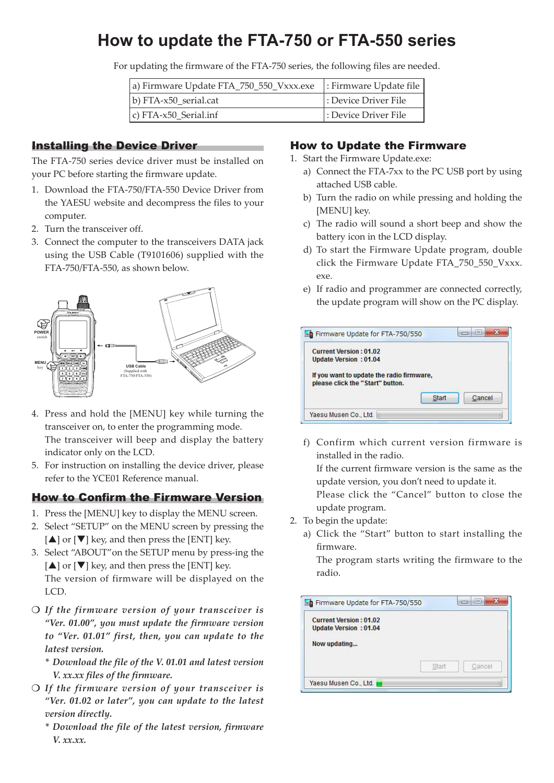## **How to update the FTA-750 or FTA-550 series**

For updating the firmware of the FTA-750 series, the following files are needed.

|                             | a) Firmware Update FTA_750_550_Vxxx.exe  : Firmware Update file |                      |  |  |
|-----------------------------|-----------------------------------------------------------------|----------------------|--|--|
| $ b)$ FTA- $x50$ serial.cat |                                                                 | : Device Driver File |  |  |
|                             | $ c\rangle$ FTA-x50 Serial.inf                                  | : Device Driver File |  |  |

## **Installing the Device Driver**

The FTA-750 series device driver must be installed on your PC before starting the firmware update.

- 1. Download the FTA-750/FTA-550 Device Driver from the YAESU website and decompress the files to your .computer
- 2. Turn the transceiver off.
- 3. Connect the computer to the transceivers DATA jack using the USB Cable (T9101606) supplied with the FTA-750/FTA-550, as shown below.



- 4. Press and hold the [MENU] key while turning the transceiver on, to enter the programming mode. The transceiver will beep and display the battery indicator only on the LCD.
- 5. For instruction on installing the device driver, please refer to the YCE01 Reference manual.

## **How to Confirm the Firmware Version**

- 1. Press the [MENU] key to display the MENU screen.
- 2. Select "SETUP" on the MENU screen by pressing the  $[\triangle]$  or  $[\triangledown]$  key, and then press the [ENT] key.
- 3. Select "ABOUT" on the SETUP menu by press-ing the  $[\triangle]$  or  $[\triangledown]$  key, and then press the [ENT] key. The version of firmware will be displayed on the .LCD
- *O If the firmware version of your transceiver is "Ver.* 01.00", you must update the firmware version to "Ver. 01.01" first, then, you can update to the *latest* version.
	- $*$  Download the file of the V. 01.01 and latest version *V. xx.xx files of the firmware.*
- *O If the firmware version of your transceiver is "Ver.* 01.02 or later", you can update to the latest  $$ 
	- *firmware ,version latest the of file the Download\* V. xx.xx.*

## How to Update the Firmware

- 1. Start the Firmware Update.exe:
	- a) Connect the FTA-7xx to the PC USB port by using attached USB cable.
	- b) Turn the radio on while pressing and holding the [MENU] key.
	- c) The radio will sound a short beep and show the battery icon in the LCD display.
	- d) To start the Firmware Update program, double click the Firmware Update FTA 750 550 Vxxx. exe.
	- e) If radio and programmer are connected correctly, the update program will show on the PC display.

|                              | <b>Current Version: 01.02</b>                                                 |       |        |
|------------------------------|-------------------------------------------------------------------------------|-------|--------|
| <b>Update Version: 01.04</b> |                                                                               |       |        |
|                              | If you want to update the radio firmware,<br>please click the "Start" button. |       |        |
|                              |                                                                               |       |        |
|                              |                                                                               | Start | Cancel |

f) Confirm which current version firmware is installed in the radio.

If the current firmware version is the same as the update version, you don't need to update it.

Please click the "Cancel" button to close the update program.

- 2. To begin the update:
	- a) Click the "Start" button to start installing the firmware.

The program starts writing the firmware to the .radio

| <b>Current Version: 01.02</b> |       |        |
|-------------------------------|-------|--------|
| <b>Update Version: 01.04</b>  |       |        |
| Now updating                  |       |        |
|                               |       |        |
|                               | Start | Cancel |